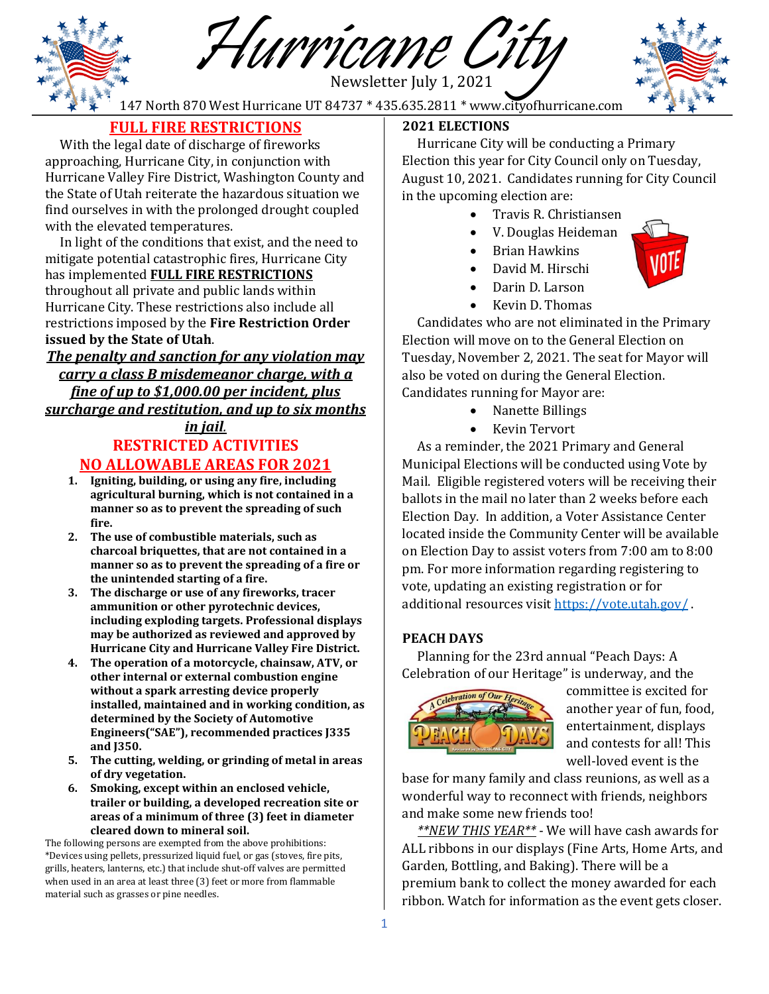Newsletter July 1, 2021 Hurricane City

147 North 870 West Hurricane UT 84737 \* 435.635.2811 \* www.cityofhurricane.com



# **FULL FIRE RESTRICTIONS**

 With the legal date of discharge of fireworks approaching, Hurricane City, in conjunction with Hurricane Valley Fire District, Washington County and the State of Utah reiterate the hazardous situation we find ourselves in with the prolonged drought coupled with the elevated temperatures.

 In light of the conditions that exist, and the need to mitigate potential catastrophic fires, Hurricane City has implemented **FULL FIRE RESTRICTIONS** throughout all private and public lands within Hurricane City. These restrictions also include all restrictions imposed by the **Fire Restriction Order issued by the State of Utah**.

# *The penalty and sanction for any violation may carry a class B misdemeanor charge, with a fine of up to \$1,000.00 per incident, plus surcharge and restitution, and up to six months*

### *in jail.* **RESTRICTED ACTIVITIES NO ALLOWABLE AREAS FOR 2021**

- **1. Igniting, building, or using any fire, including agricultural burning, which is not contained in a manner so as to prevent the spreading of such fire.**
- **2. The use of combustible materials, such as charcoal briquettes, that are not contained in a manner so as to prevent the spreading of a fire or the unintended starting of a fire.**
- **3. The discharge or use of any fireworks, tracer ammunition or other pyrotechnic devices, including exploding targets. Professional displays may be authorized as reviewed and approved by Hurricane City and Hurricane Valley Fire District.**
- **4. The operation of a motorcycle, chainsaw, ATV, or other internal or external combustion engine without a spark arresting device properly installed, maintained and in working condition, as determined by the Society of Automotive Engineers("SAE"), recommended practices J335 and J350.**
- **5. The cutting, welding, or grinding of metal in areas of dry vegetation.**
- **6. Smoking, except within an enclosed vehicle, trailer or building, a developed recreation site or areas of a minimum of three (3) feet in diameter cleared down to mineral soil.**

The following persons are exempted from the above prohibitions: \*Devices using pellets, pressurized liquid fuel, or gas (stoves, fire pits, grills, heaters, lanterns, etc.) that include shut-off valves are permitted when used in an area at least three (3) feet or more from flammable material such as grasses or pine needles.

### **2021 ELECTIONS**

 Hurricane City will be conducting a Primary Election this year for City Council only on Tuesday, August 10, 2021. Candidates running for City Council in the upcoming election are:

- Travis R. Christiansen
- V. Douglas Heideman
- Brian Hawkins
- David M. Hirschi
- Darin D. Larson
- Kevin D. Thomas

 Candidates who are not eliminated in the Primary Election will move on to the General Election on Tuesday, November 2, 2021. The seat for Mayor will also be voted on during the General Election. Candidates running for Mayor are:

• Nanette Billings

• Kevin Tervort

 As a reminder, the 2021 Primary and General Municipal Elections will be conducted using Vote by Mail. Eligible registered voters will be receiving their ballots in the mail no later than 2 weeks before each Election Day. In addition, a Voter Assistance Center located inside the Community Center will be available on Election Day to assist voters from 7:00 am to 8:00 pm. For more information regarding registering to vote, updating an existing registration or for additional resources visi[t https://vote.utah.gov/](https://vote.utah.gov/) .

### **PEACH DAYS**

 Planning for the 23rd annual "Peach Days: A Celebration of our Heritage" is underway, and the



committee is excited for another year of fun, food, entertainment, displays and contests for all! This well-loved event is the

base for many family and class reunions, as well as a wonderful way to reconnect with friends, neighbors and make some new friends too!

 *\*\*NEW THIS YEAR\*\** - We will have cash awards for ALL ribbons in our displays (Fine Arts, Home Arts, and Garden, Bottling, and Baking). There will be a premium bank to collect the money awarded for each ribbon. Watch for information as the event gets closer.

1

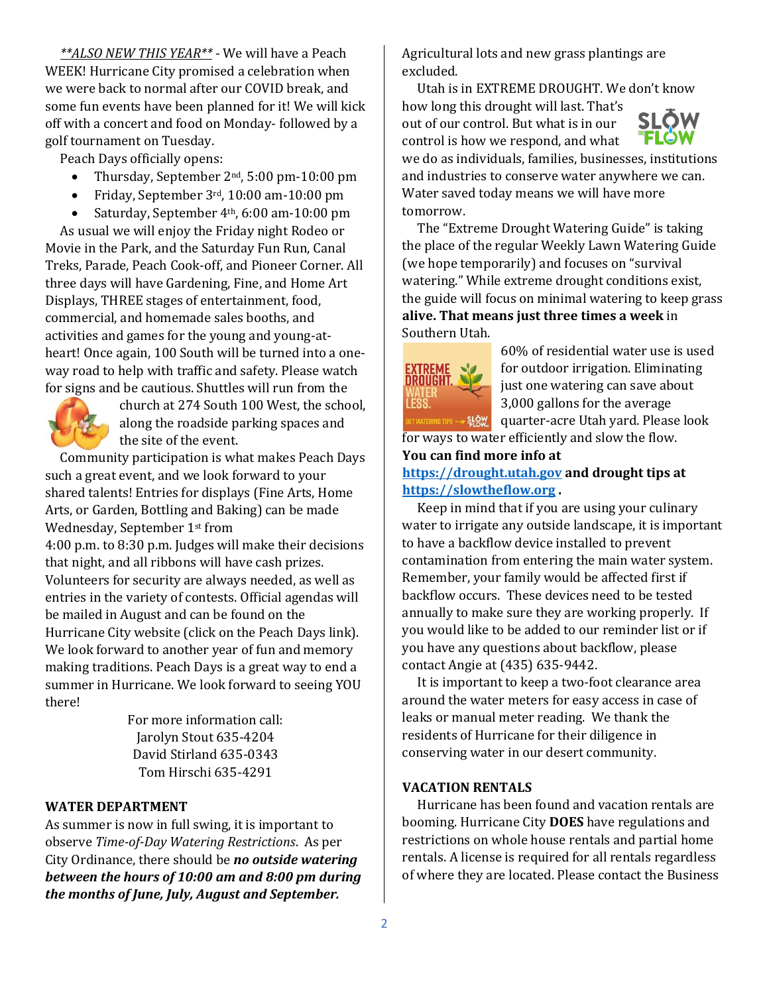*\*\*ALSO NEW THIS YEAR\*\** - We will have a Peach WEEK! Hurricane City promised a celebration when we were back to normal after our COVID break, and some fun events have been planned for it! We will kick off with a concert and food on Monday- followed by a golf tournament on Tuesday.

Peach Days officially opens:

- Thursday, September 2<sup>nd</sup>, 5:00 pm-10:00 pm
- Friday, September 3rd, 10:00 am-10:00 pm
- Saturday, September 4<sup>th</sup>, 6:00 am-10:00 pm

 As usual we will enjoy the Friday night Rodeo or Movie in the Park, and the Saturday Fun Run, Canal Treks, Parade, Peach Cook-off, and Pioneer Corner. All three days will have Gardening, Fine, and Home Art Displays, THREE stages of entertainment, food, commercial, and homemade sales booths, and activities and games for the young and young-atheart! Once again, 100 South will be turned into a oneway road to help with traffic and safety. Please watch for signs and be cautious. Shuttles will run from the



church at 274 South 100 West, the school, along the roadside parking spaces and the site of the event.

 Community participation is what makes Peach Days such a great event, and we look forward to your shared talents! Entries for displays (Fine Arts, Home Arts, or Garden, Bottling and Baking) can be made Wednesday, September 1st from

4:00 p.m. to 8:30 p.m. Judges will make their decisions that night, and all ribbons will have cash prizes. Volunteers for security are always needed, as well as entries in the variety of contests. Official agendas will be mailed in August and can be found on the Hurricane City website (click on the Peach Days link). We look forward to another year of fun and memory making traditions. Peach Days is a great way to end a summer in Hurricane. We look forward to seeing YOU there!

> For more information call: Jarolyn Stout 635-4204 David Stirland 635-0343 Tom Hirschi 635-4291

### **WATER DEPARTMENT**

As summer is now in full swing, it is important to observe *Time-of-Day Watering Restrictions*. As per City Ordinance, there should be *no outside watering between the hours of 10:00 am and 8:00 pm during the months of June, July, August and September.*

Agricultural lots and new grass plantings are excluded.

 Utah is in EXTREME DROUGHT. We don't know how long this drought will last. That's out of our control. But what is in our control is how we respond, and what



we do as individuals, families, businesses, institutions and industries to conserve water anywhere we can. Water saved today means we will have more tomorrow.

 The "Extreme Drought Watering Guide" is taking the place of the regular Weekly Lawn Watering Guide (we hope temporarily) and focuses on "survival watering." While extreme drought conditions exist, the guide will focus on minimal watering to keep grass **alive. That means just three times a week** in Southern Utah.



60% of residential water use is used for outdoor irrigation. Eliminating just one watering can save about 3,000 gallons for the average quarter-acre Utah yard. Please look for ways to water efficiently and slow the flow.

**You can find more info at** 

### **[https://drought.utah.gov](https://drought.utah.gov/) and drought tips at [https://slowtheflow.org](https://slowtheflow.org/) .**

 Keep in mind that if you are using your culinary water to irrigate any outside landscape, it is important to have a backflow device installed to prevent contamination from entering the main water system. Remember, your family would be affected first if backflow occurs. These devices need to be tested annually to make sure they are working properly. If you would like to be added to our reminder list or if you have any questions about backflow, please contact Angie at (435) 635-9442.

 It is important to keep a two-foot clearance area around the water meters for easy access in case of leaks or manual meter reading. We thank the residents of Hurricane for their diligence in conserving water in our desert community.

### **VACATION RENTALS**

 Hurricane has been found and vacation rentals are booming. Hurricane City **DOES** have regulations and restrictions on whole house rentals and partial home rentals. A license is required for all rentals regardless of where they are located. Please contact the Business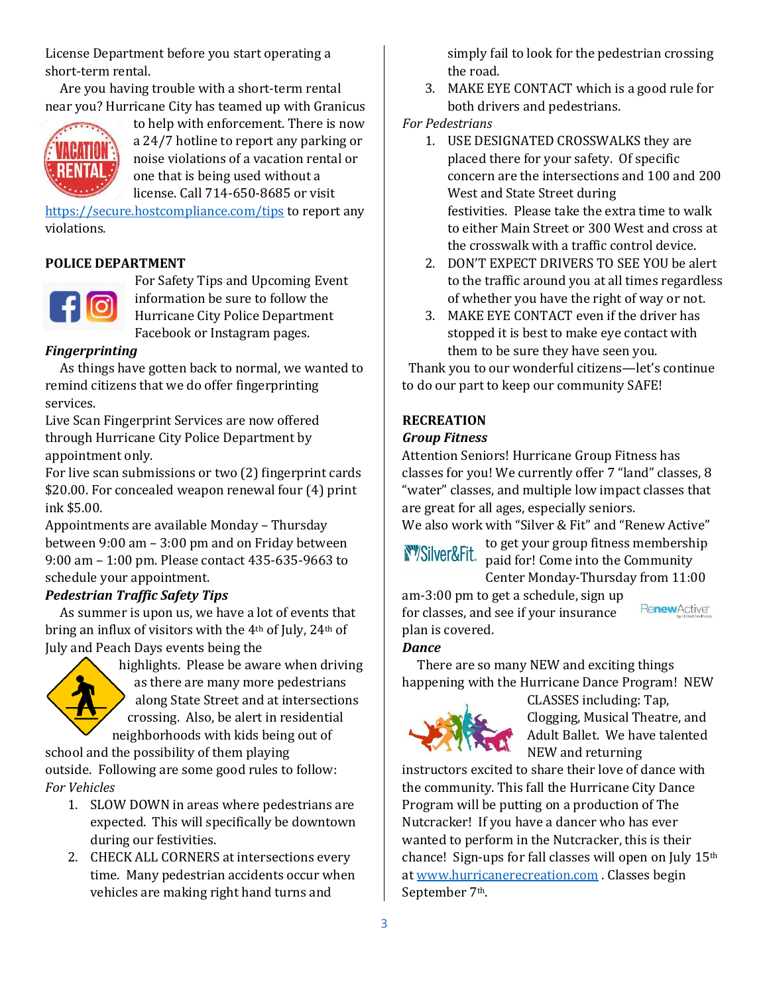License Department before you start operating a short-term rental.

 Are you having trouble with a short-term rental near you? Hurricane City has teamed up with Granicus



to help with enforcement. There is now a 24/7 hotline to report any parking or noise violations of a vacation rental or one that is being used without a license. Call 714-650-8685 or visit

<https://secure.hostcompliance.com/tips> to report any violations.

## **POLICE DEPARTMENT**



For Safety Tips and Upcoming Event information be sure to follow the Hurricane City Police Department Facebook or Instagram pages.

## *Fingerprinting*

 As things have gotten back to normal, we wanted to remind citizens that we do offer fingerprinting services.

Live Scan Fingerprint Services are now offered through Hurricane City Police Department by appointment only.

For live scan submissions or two (2) fingerprint cards \$20.00. For concealed weapon renewal four (4) print ink \$5.00.

Appointments are available Monday – Thursday between 9:00 am – 3:00 pm and on Friday between 9:00 am – 1:00 pm. Please contact 435-635-9663 to schedule your appointment.

### *Pedestrian Traffic Safety Tips*

As summer is upon us, we have a lot of events that bring an influx of visitors with the 4th of July, 24th of July and Peach Days events being the



highlights. Please be aware when driving as there are many more pedestrians along State Street and at intersections crossing. Also, be alert in residential neighborhoods with kids being out of

school and the possibility of them playing outside. Following are some good rules to follow: *For Vehicles*

- 1. SLOW DOWN in areas where pedestrians are expected. This will specifically be downtown during our festivities.
- 2. CHECK ALL CORNERS at intersections every time. Many pedestrian accidents occur when vehicles are making right hand turns and

simply fail to look for the pedestrian crossing the road.

3. MAKE EYE CONTACT which is a good rule for both drivers and pedestrians.

### *For Pedestrians*

- 1. USE DESIGNATED CROSSWALKS they are placed there for your safety. Of specific concern are the intersections and 100 and 200 West and State Street during festivities. Please take the extra time to walk to either Main Street or 300 West and cross at the crosswalk with a traffic control device.
- 2. DON'T EXPECT DRIVERS TO SEE YOU be alert to the traffic around you at all times regardless of whether you have the right of way or not.
- 3. MAKE EYE CONTACT even if the driver has stopped it is best to make eye contact with them to be sure they have seen you.

Thank you to our wonderful citizens—let's continue to do our part to keep our community SAFE!

# **RECREATION**

# *Group Fitness*

Attention Seniors! Hurricane Group Fitness has classes for you! We currently offer 7 "land" classes, 8 "water" classes, and multiple low impact classes that are great for all ages, especially seniors.

We also work with "Silver & Fit" and "Renew Active"

to get your group fitness membership  $\frac{1}{2}$  Silver&Fit. paid for! Come into the Community Center Monday-Thursday from 11:00

am-3:00 pm to get a schedule, sign up for classes, and see if your insurance plan is covered.

### *Dance*

 There are so many NEW and exciting things happening with the Hurricane Dance Program! NEW



CLASSES including: Tap, Clogging, Musical Theatre, and Adult Ballet. We have talented NEW and returning

RenewActive®

instructors excited to share their love of dance with the community. This fall the Hurricane City Dance Program will be putting on a production of The Nutcracker! If you have a dancer who has ever wanted to perform in the Nutcracker, this is their chance! Sign-ups for fall classes will open on July 15th at [www.hurricanerecreation.com](http://www.hurricanerecreation.com/) . Classes begin September 7th.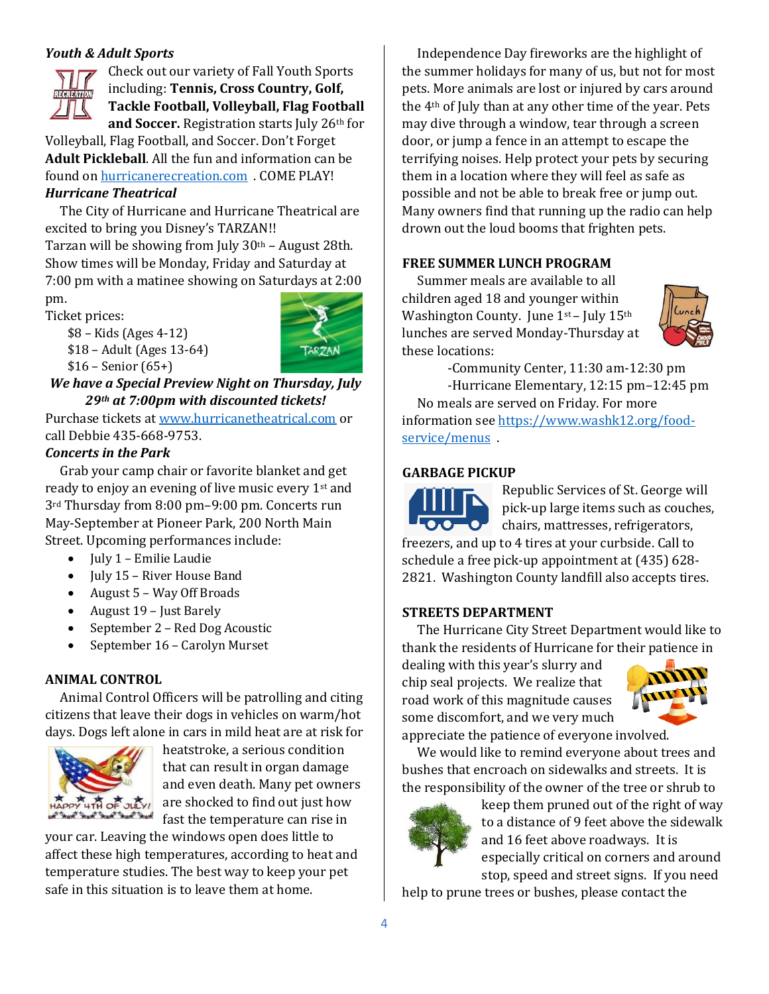### *Youth & Adult Sports*

Check out our variety of Fall Youth Sports including: **Tennis, Cross Country, Golf, Tackle Football, Volleyball, Flag Football and Soccer.** Registration starts July 26th for

Volleyball, Flag Football, and Soccer. Don't Forget **Adult Pickleball**. All the fun and information can be found o[n hurricanerecreation.com](http://hurricanerecreation.com/) . COME PLAY! *Hurricane Theatrical*

 The City of Hurricane and Hurricane Theatrical are excited to bring you Disney's TARZAN!!

Tarzan will be showing from July 30th – August 28th. Show times will be Monday, Friday and Saturday at 7:00 pm with a matinee showing on Saturdays at 2:00

pm. Ticket prices:

\$8 – Kids (Ages 4-12) \$18 – Adult (Ages 13-64)  $$16 -$  Senior  $(65+)$ 



### *We have a Special Preview Night on Thursday, July 29th at 7:00pm with discounted tickets!*

Purchase tickets at [www.hurricanetheatrical.com](http://www.hurricanetheatrical.com/) or call Debbie 435-668-9753.

### *Concerts in the Park*

Grab your camp chair or favorite blanket and get ready to enjoy an evening of live music every 1st and 3rd Thursday from 8:00 pm–9:00 pm. Concerts run May-September at Pioneer Park, 200 North Main Street. Upcoming performances include:

- July 1 Emilie Laudie
- July 15 River House Band
- August 5 Way Off Broads
- August 19 Just Barely
- September 2 Red Dog Acoustic
- September 16 Carolyn Murset

### **ANIMAL CONTROL**

 Animal Control Officers will be patrolling and citing citizens that leave their dogs in vehicles on warm/hot days. Dogs left alone in cars in mild heat are at risk for



heatstroke, a serious condition that can result in organ damage and even death. Many pet owners are shocked to find out just how fast the temperature can rise in

your car. Leaving the windows open does little to affect these high temperatures, according to heat and temperature studies. The best way to keep your pet safe in this situation is to leave them at home.

 Independence Day fireworks are the highlight of the summer holidays for many of us, but not for most pets. More animals are lost or injured by cars around the 4th of July than at any other time of the year. Pets may dive through a window, tear through a screen door, or jump a fence in an attempt to escape the terrifying noises. Help protect your pets by securing them in a location where they will feel as safe as possible and not be able to break free or jump out. Many owners find that running up the radio can help drown out the loud booms that frighten pets.

### **FREE SUMMER LUNCH PROGRAM**

 Summer meals are available to all children aged 18 and younger within Washington County. June 1<sup>st</sup> – July 15<sup>th</sup> lunches are served Monday-Thursday at these locations:



-Community Center, 11:30 am-12:30 pm

-Hurricane Elementary, 12:15 pm–12:45 pm No meals are served on Friday. For more information see [https://www.washk12.org/food](https://www.washk12.org/food-service/menus)service/menus.

### **GARBAGE PICKUP**

Republic Services of St. George will pick-up large items such as couches,  $\bullet$ chairs, mattresses, refrigerators, freezers, and up to 4 tires at your curbside. Call to schedule a free pick-up appointment at (435) 628- 2821. Washington County landfill also accepts tires.

### **STREETS DEPARTMENT**

 The Hurricane City Street Department would like to thank the residents of Hurricane for their patience in

dealing with this year's slurry and chip seal projects. We realize that road work of this magnitude causes some discomfort, and we very much appreciate the patience of everyone involved.



 We would like to remind everyone about trees and bushes that encroach on sidewalks and streets. It is the responsibility of the owner of the tree or shrub to



keep them pruned out of the right of way to a distance of 9 feet above the sidewalk and 16 feet above roadways. It is especially critical on corners and around stop, speed and street signs. If you need

help to prune trees or bushes, please contact the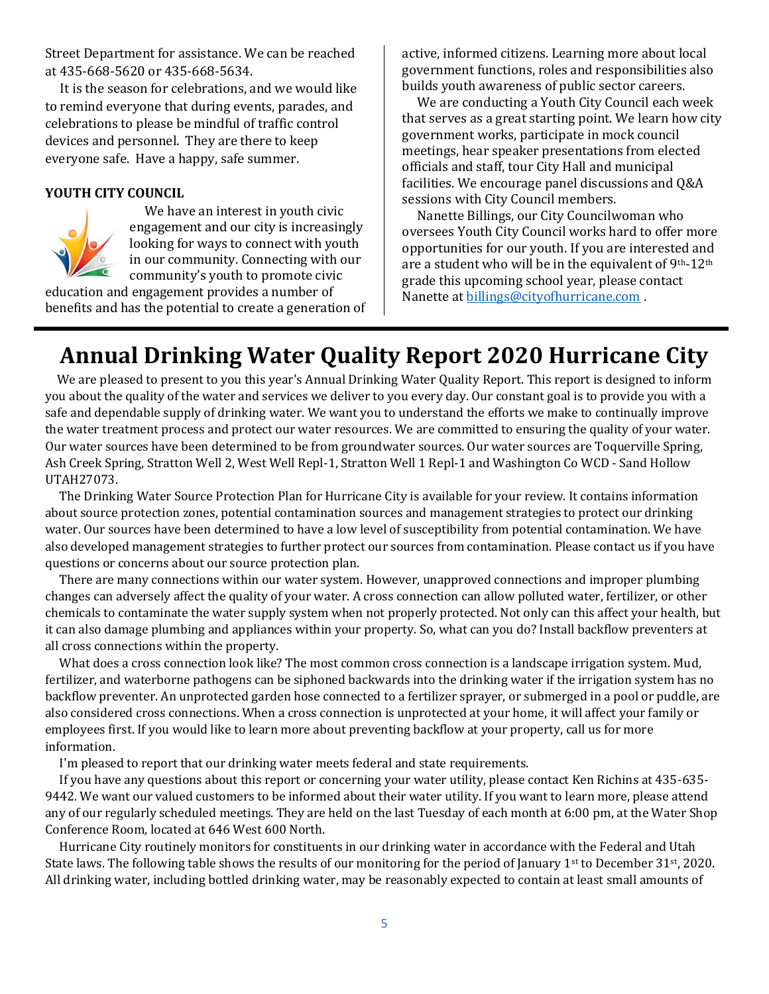Street Department for assistance. We can be reached at 435-668-5620 or 435-668-5634.

 It is the season for celebrations, and we would like to remind everyone that during events, parades, and celebrations to please be mindful of traffic control devices and personnel. They are there to keep everyone safe. Have a happy, safe summer.

#### **YOUTH CITY COUNCIL**



 We have an interest in youth civic engagement and our city is increasingly looking for ways to connect with youth in our community. Connecting with our community's youth to promote civic

education and engagement provides a number of benefits and has the potential to create a generation of active, informed citizens. Learning more about local government functions, roles and responsibilities also builds youth awareness of public sector careers.

 We are conducting a Youth City Council each week that serves as a great starting point. We learn how city government works, participate in mock council meetings, hear speaker presentations from elected officials and staff, tour City Hall and municipal facilities. We encourage panel discussions and Q&A sessions with City Council members.

 Nanette Billings, our City Councilwoman who oversees Youth City Council works hard to offer more opportunities for our youth. If you are interested and are a student who will be in the equivalent of 9th-12th grade this upcoming school year, please contact Nanette at **billings@cityofhurricane.com**.

# **Annual Drinking Water Quality Report 2020 Hurricane City**

 We are pleased to present to you this year's Annual Drinking Water Quality Report. This report is designed to inform you about the quality of the water and services we deliver to you every day. Our constant goal is to provide you with a safe and dependable supply of drinking water. We want you to understand the efforts we make to continually improve the water treatment process and protect our water resources. We are committed to ensuring the quality of your water. Our water sources have been determined to be from groundwater sources. Our water sources are Toquerville Spring, Ash Creek Spring, Stratton Well 2, West Well Repl-1, Stratton Well 1 Repl-1 and Washington Co WCD - Sand Hollow UTAH27073.

 The Drinking Water Source Protection Plan for Hurricane City is available for your review. It contains information about source protection zones, potential contamination sources and management strategies to protect our drinking water. Our sources have been determined to have a low level of susceptibility from potential contamination. We have also developed management strategies to further protect our sources from contamination. Please contact us if you have questions or concerns about our source protection plan.

 There are many connections within our water system. However, unapproved connections and improper plumbing changes can adversely affect the quality of your water. A cross connection can allow polluted water, fertilizer, or other chemicals to contaminate the water supply system when not properly protected. Not only can this affect your health, but it can also damage plumbing and appliances within your property. So, what can you do? Install backflow preventers at all cross connections within the property.

 What does a cross connection look like? The most common cross connection is a landscape irrigation system. Mud, fertilizer, and waterborne pathogens can be siphoned backwards into the drinking water if the irrigation system has no backflow preventer. An unprotected garden hose connected to a fertilizer sprayer, or submerged in a pool or puddle, are also considered cross connections. When a cross connection is unprotected at your home, it will affect your family or employees first. If you would like to learn more about preventing backflow at your property, call us for more information.

I'm pleased to report that our drinking water meets federal and state requirements.

 If you have any questions about this report or concerning your water utility, please contact Ken Richins at 435-635- 9442. We want our valued customers to be informed about their water utility. If you want to learn more, please attend any of our regularly scheduled meetings. They are held on the last Tuesday of each month at 6:00 pm, at the Water Shop Conference Room, located at 646 West 600 North.

 Hurricane City routinely monitors for constituents in our drinking water in accordance with the Federal and Utah State laws. The following table shows the results of our monitoring for the period of January 1<sup>st</sup> to December 31<sup>st</sup>, 2020. All drinking water, including bottled drinking water, may be reasonably expected to contain at least small amounts of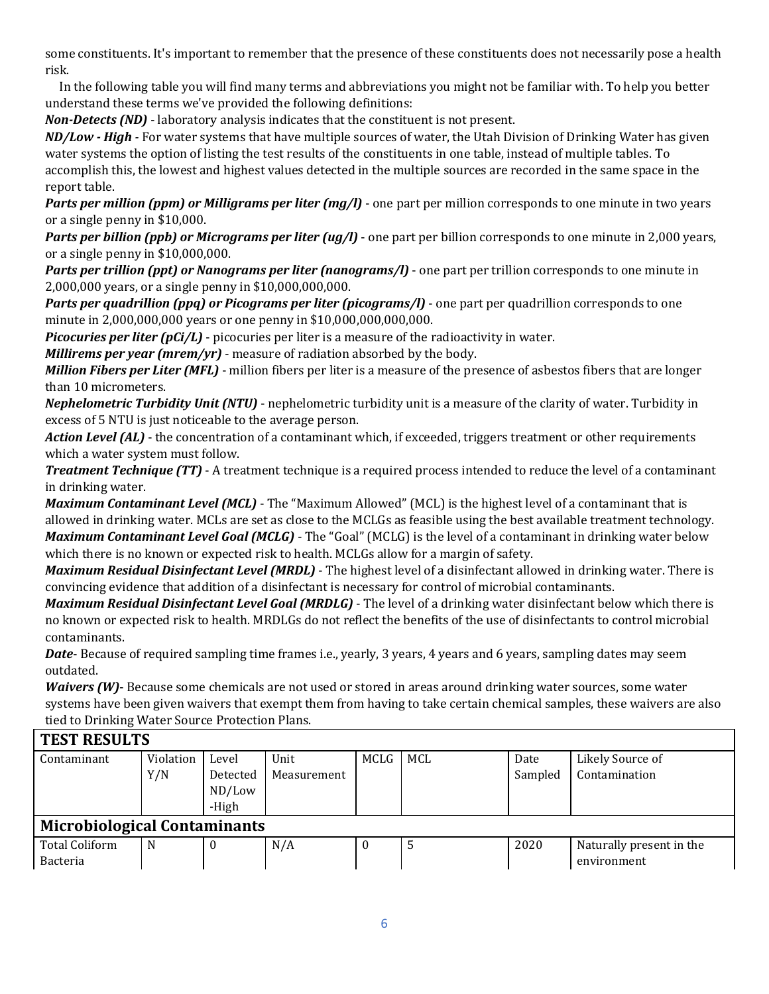some constituents. It's important to remember that the presence of these constituents does not necessarily pose a health risk.

 In the following table you will find many terms and abbreviations you might not be familiar with. To help you better understand these terms we've provided the following definitions:

*Non-Detects (ND)* - laboratory analysis indicates that the constituent is not present.

*ND/Low - High -* For water systems that have multiple sources of water, the Utah Division of Drinking Water has given water systems the option of listing the test results of the constituents in one table, instead of multiple tables. To accomplish this, the lowest and highest values detected in the multiple sources are recorded in the same space in the report table.

*Parts per million (ppm) or Milligrams per liter (mg/l)* - one part per million corresponds to one minute in two years or a single penny in \$10,000.

*Parts per billion (ppb) or Micrograms per liter (ug/l)* - one part per billion corresponds to one minute in 2,000 years, or a single penny in \$10,000,000.

*Parts per trillion (ppt) or Nanograms per liter (nanograms/l)* - one part per trillion corresponds to one minute in 2,000,000 years, or a single penny in \$10,000,000,000.

*Parts per quadrillion (ppq) or Picograms per liter (picograms/l)* - one part per quadrillion corresponds to one minute in 2,000,000,000 years or one penny in \$10,000,000,000,000.

*Picocuries per liter (pCi/L)* - picocuries per liter is a measure of the radioactivity in water.

*Millirems per year (mrem/yr)* - measure of radiation absorbed by the body.

*Million Fibers per Liter (MFL)* - million fibers per liter is a measure of the presence of asbestos fibers that are longer than 10 micrometers.

*Nephelometric Turbidity Unit (NTU)* - nephelometric turbidity unit is a measure of the clarity of water. Turbidity in excess of 5 NTU is just noticeable to the average person.

*Action Level (AL)* - the concentration of a contaminant which, if exceeded, triggers treatment or other requirements which a water system must follow.

*Treatment Technique (TT)* - A treatment technique is a required process intended to reduce the level of a contaminant in drinking water.

*Maximum Contaminant Level (MCL)* - The "Maximum Allowed" (MCL) is the highest level of a contaminant that is allowed in drinking water. MCLs are set as close to the MCLGs as feasible using the best available treatment technology. *Maximum Contaminant Level Goal (MCLG)* - The "Goal" (MCLG) is the level of a contaminant in drinking water below which there is no known or expected risk to health. MCLGs allow for a margin of safety.

*Maximum Residual Disinfectant Level (MRDL)* - The highest level of a disinfectant allowed in drinking water. There is convincing evidence that addition of a disinfectant is necessary for control of microbial contaminants.

*Maximum Residual Disinfectant Level Goal (MRDLG)* - The level of a drinking water disinfectant below which there is no known or expected risk to health. MRDLGs do not reflect the benefits of the use of disinfectants to control microbial contaminants.

*Date*- Because of required sampling time frames i.e., yearly, 3 years, 4 years and 6 years, sampling dates may seem outdated.

*Waivers (W)*- Because some chemicals are not used or stored in areas around drinking water sources, some water systems have been given waivers that exempt them from having to take certain chemical samples, these waivers are also tied to Drinking Water Source Protection Plans.

| <b>TEST RESULTS</b>                 |           |          |             |      |     |         |                          |  |  |
|-------------------------------------|-----------|----------|-------------|------|-----|---------|--------------------------|--|--|
| Contaminant                         | Violation | Level    | Unit        | MCLG | MCL | Date    | Likely Source of         |  |  |
|                                     | Y/N       | Detected | Measurement |      |     | Sampled | Contamination            |  |  |
|                                     |           | ND/Low   |             |      |     |         |                          |  |  |
|                                     |           | -High    |             |      |     |         |                          |  |  |
| <b>Microbiological Contaminants</b> |           |          |             |      |     |         |                          |  |  |
| <b>Total Coliform</b>               | N         | 0        | N/A         | U    | 5   | 2020    | Naturally present in the |  |  |
| <b>Bacteria</b>                     |           |          |             |      |     |         | environment              |  |  |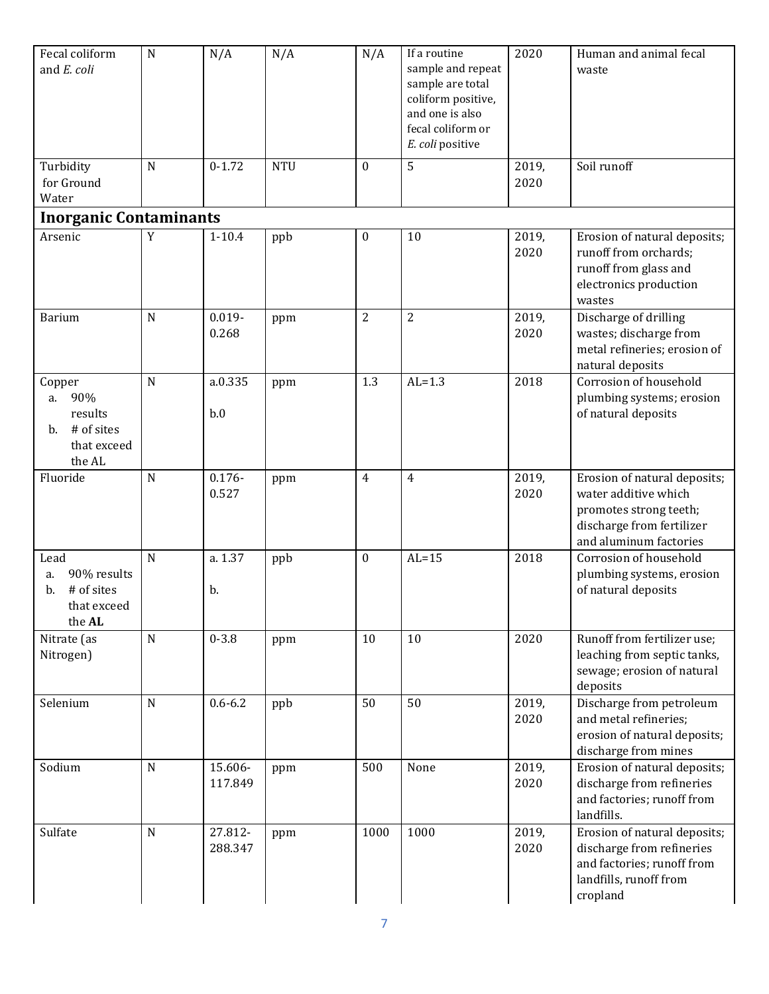| Fecal coliform<br>and E. coli                                               | ${\bf N}$   | N/A                | N/A        | N/A              | If a routine<br>sample and repeat<br>sample are total<br>coliform positive,<br>and one is also<br>fecal coliform or<br>E. coli positive | 2020          | Human and animal fecal<br>waste                                                                                                       |
|-----------------------------------------------------------------------------|-------------|--------------------|------------|------------------|-----------------------------------------------------------------------------------------------------------------------------------------|---------------|---------------------------------------------------------------------------------------------------------------------------------------|
| Turbidity<br>for Ground<br>Water                                            | $\mathbf N$ | $0 - 1.72$         | <b>NTU</b> | $\mathbf{0}$     | 5                                                                                                                                       | 2019,<br>2020 | Soil runoff                                                                                                                           |
| <b>Inorganic Contaminants</b>                                               |             |                    |            |                  |                                                                                                                                         |               |                                                                                                                                       |
| Arsenic                                                                     | $\mathbf Y$ | $1 - 10.4$         | ppb        | $\boldsymbol{0}$ | 10                                                                                                                                      | 2019,<br>2020 | Erosion of natural deposits;<br>runoff from orchards;<br>runoff from glass and<br>electronics production<br>wastes                    |
| <b>Barium</b>                                                               | $\mathbf N$ | $0.019 -$<br>0.268 | ppm        | $\overline{2}$   | $\overline{2}$                                                                                                                          | 2019,<br>2020 | Discharge of drilling<br>wastes; discharge from<br>metal refineries; erosion of<br>natural deposits                                   |
| Copper<br>90%<br>a.<br>results<br># of sites<br>b.<br>that exceed<br>the AL | $\mathbf N$ | a.0.335<br>b.0     | ppm        | 1.3              | $AL=1.3$                                                                                                                                | 2018          | Corrosion of household<br>plumbing systems; erosion<br>of natural deposits                                                            |
| Fluoride                                                                    | ${\bf N}$   | $0.176 -$<br>0.527 | ppm        | $\overline{4}$   | 4                                                                                                                                       | 2019,<br>2020 | Erosion of natural deposits;<br>water additive which<br>promotes strong teeth;<br>discharge from fertilizer<br>and aluminum factories |
| Lead<br>90% results<br>a.<br># of sites<br>b.<br>that exceed<br>the AL      | N           | a. 1.37<br>b.      | ppb        | $\bf{0}$         | $AL=15$                                                                                                                                 | 2018          | Corrosion of household<br>plumbing systems, erosion<br>of natural deposits                                                            |
| Nitrate (as<br>Nitrogen)                                                    | ${\bf N}$   | $0 - 3.8$          | ppm        | 10               | 10                                                                                                                                      | 2020          | Runoff from fertilizer use;<br>leaching from septic tanks,<br>sewage; erosion of natural<br>deposits                                  |
| Selenium                                                                    | ${\bf N}$   | $0.6 - 6.2$        | ppb        | 50               | 50                                                                                                                                      | 2019,<br>2020 | Discharge from petroleum<br>and metal refineries;<br>erosion of natural deposits;<br>discharge from mines                             |
| Sodium                                                                      | $\mathbf N$ | 15.606-<br>117.849 | ppm        | 500              | None                                                                                                                                    | 2019,<br>2020 | Erosion of natural deposits;<br>discharge from refineries<br>and factories; runoff from<br>landfills.                                 |
| Sulfate                                                                     | $\mathbf N$ | 27.812-<br>288.347 | ppm        | 1000             | 1000                                                                                                                                    | 2019,<br>2020 | Erosion of natural deposits;<br>discharge from refineries<br>and factories; runoff from<br>landfills, runoff from<br>cropland         |